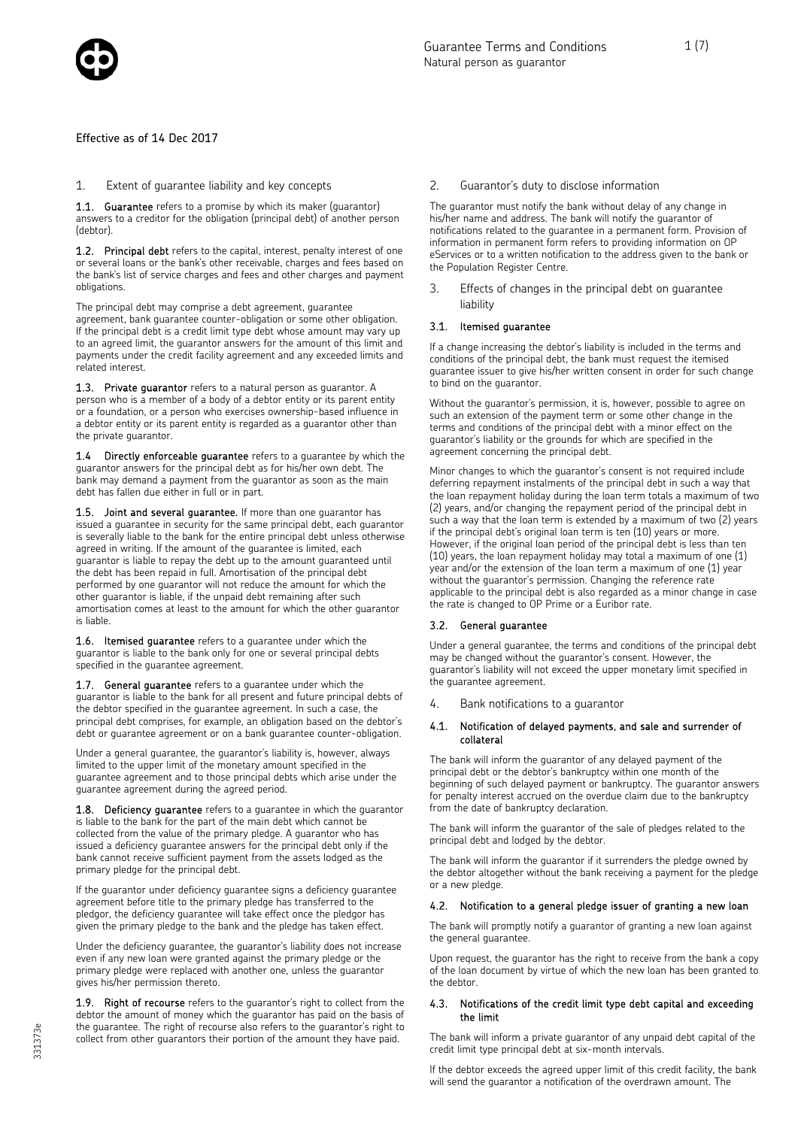

Effective as of 14 Dec 2017

#### 1. Extent of guarantee liability and key concepts

1.1. Guarantee refers to a promise by which its maker (quarantor) answers to a creditor for the obligation (principal debt) of another person (debtor).

1.2. Principal debt refers to the capital, interest, penalty interest of one or several loans or the bank's other receivable, charges and fees based on the bank's list of service charges and fees and other charges and payment obligations.

The principal debt may comprise a debt agreement, guarantee agreement, bank guarantee counter-obligation or some other obligation. If the principal debt is a credit limit type debt whose amount may vary up to an agreed limit, the guarantor answers for the amount of this limit and payments under the credit facility agreement and any exceeded limits and related interest.

1.3. Private guarantor refers to a natural person as guarantor. A person who is a member of a body of a debtor entity or its parent entity or a foundation, or a person who exercises ownership-based influence in a debtor entity or its parent entity is regarded as a guarantor other than the private guarantor.

1.4 Directly enforceable guarantee refers to a guarantee by which the guarantor answers for the principal debt as for his/her own debt. The bank may demand a payment from the guarantor as soon as the main debt has fallen due either in full or in part.

1.5. Joint and several quarantee. If more than one quarantor has issued a guarantee in security for the same principal debt, each guarantor is severally liable to the bank for the entire principal debt unless otherwise agreed in writing. If the amount of the guarantee is limited, each guarantor is liable to repay the debt up to the amount guaranteed until the debt has been repaid in full. Amortisation of the principal debt performed by one guarantor will not reduce the amount for which the other guarantor is liable, if the unpaid debt remaining after such amortisation comes at least to the amount for which the other guarantor is liable.

**1.6.** Itemised guarantee refers to a guarantee under which the guarantor is liable to the bank only for one or several principal debts specified in the guarantee agreement.

1.7. General guarantee refers to a guarantee under which the guarantor is liable to the bank for all present and future principal debts of the debtor specified in the guarantee agreement. In such a case, the principal debt comprises, for example, an obligation based on the debtor's debt or guarantee agreement or on a bank guarantee counter-obligation.

Under a general guarantee, the guarantor's liability is, however, always limited to the upper limit of the monetary amount specified in the guarantee agreement and to those principal debts which arise under the guarantee agreement during the agreed period.

**1.8.** Deficiency guarantee refers to a guarantee in which the guarantor is liable to the bank for the part of the main debt which cannot be collected from the value of the primary pledge. A guarantor who has issued a deficiency guarantee answers for the principal debt only if the bank cannot receive sufficient payment from the assets lodged as the primary pledge for the principal debt.

If the guarantor under deficiency guarantee signs a deficiency guarantee agreement before title to the primary pledge has transferred to the pledgor, the deficiency guarantee will take effect once the pledgor has given the primary pledge to the bank and the pledge has taken effect.

Under the deficiency guarantee, the guarantor's liability does not increase even if any new loan were granted against the primary pledge or the primary pledge were replaced with another one, unless the guarantor gives his/her permission thereto.

1.9. Right of recourse refers to the guarantor's right to collect from the debtor the amount of money which the guarantor has paid on the basis of the guarantee. The right of recourse also refers to the guarantor's right to collect from other guarantors their portion of the amount they have paid.

2. Guarantor's duty to disclose information

The guarantor must notify the bank without delay of any change in his/her name and address. The bank will notify the guarantor of notifications related to the guarantee in a permanent form. Provision of information in permanent form refers to providing information on OP eServices or to a written notification to the address given to the bank or the Population Register Centre.

Effects of changes in the principal debt on guarantee liability

#### 3.1. Itemised guarantee

If a change increasing the debtor's liability is included in the terms and conditions of the principal debt, the bank must request the itemised guarantee issuer to give his/her written consent in order for such change to bind on the guarantor.

Without the guarantor's permission, it is, however, possible to agree on such an extension of the payment term or some other change in the terms and conditions of the principal debt with a minor effect on the guarantor's liability or the grounds for which are specified in the agreement concerning the principal debt.

Minor changes to which the guarantor's consent is not required include deferring repayment instalments of the principal debt in such a way that the loan repayment holiday during the loan term totals a maximum of two (2) years, and/or changing the repayment period of the principal debt in such a way that the loan term is extended by a maximum of two (2) years if the principal debt's original loan term is ten (10) years or more. However, if the original loan period of the principal debt is less than ten (10) years, the loan repayment holiday may total a maximum of one (1) year and/or the extension of the loan term a maximum of one (1) year without the guarantor's permission. Changing the reference rate applicable to the principal debt is also regarded as a minor change in case the rate is changed to OP Prime or a Euribor rate.

#### 3.2. General guarantee

Under a general guarantee, the terms and conditions of the principal debt may be changed without the guarantor's consent. However, the guarantor's liability will not exceed the upper monetary limit specified in the guarantee agreement.

4. Bank notifications to a guarantor

#### 4.1. Notification of delayed payments, and sale and surrender of collateral

The bank will inform the guarantor of any delayed payment of the principal debt or the debtor's bankruptcy within one month of the beginning of such delayed payment or bankruptcy. The guarantor answers for penalty interest accrued on the overdue claim due to the bankruptcy from the date of bankruptcy declaration.

The bank will inform the guarantor of the sale of pledges related to the principal debt and lodged by the debtor.

The bank will inform the guarantor if it surrenders the pledge owned by the debtor altogether without the bank receiving a payment for the pledge or a new pledge.

#### 4.2. Notification to a general pledge issuer of granting a new loan

The bank will promptly notify a guarantor of granting a new loan against the general guarantee.

Upon request, the guarantor has the right to receive from the bank a copy of the loan document by virtue of which the new loan has been granted to the debtor.

#### 4.3. Notifications of the credit limit type debt capital and exceeding the limit

The bank will inform a private guarantor of any unpaid debt capital of the credit limit type principal debt at six-month intervals.

If the debtor exceeds the agreed upper limit of this credit facility, the bank will send the guarantor a notification of the overdrawn amount. The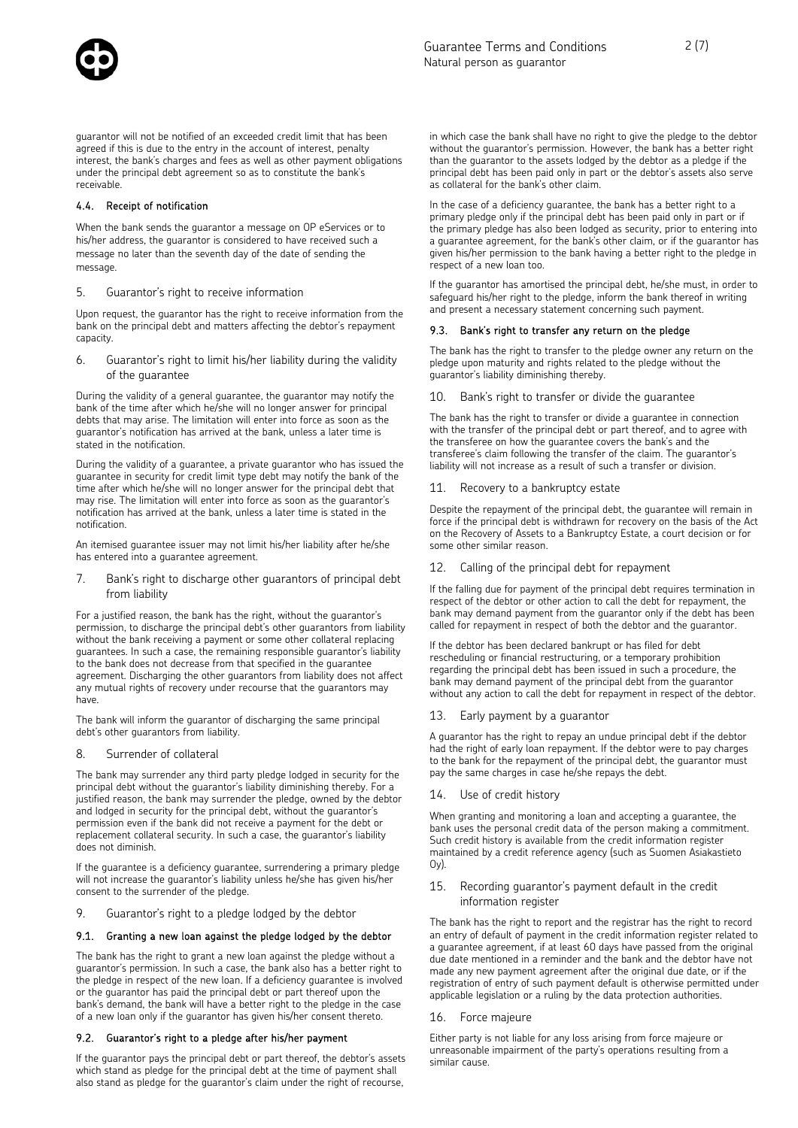guarantor will not be notified of an exceeded credit limit that has been agreed if this is due to the entry in the account of interest, penalty interest, the bank's charges and fees as well as other payment obligations under the principal debt agreement so as to constitute the bank's receivable.

#### 4.4. Receipt of notification

When the bank sends the guarantor a message on OP eServices or to his/her address, the guarantor is considered to have received such a message no later than the seventh day of the date of sending the message.

5. Guarantor's right to receive information

Upon request, the guarantor has the right to receive information from the bank on the principal debt and matters affecting the debtor's repayment capacity.

6. Guarantor's right to limit his/her liability during the validity of the guarantee

During the validity of a general guarantee, the guarantor may notify the bank of the time after which he/she will no longer answer for principal debts that may arise. The limitation will enter into force as soon as the guarantor's notification has arrived at the bank, unless a later time is stated in the notification.

During the validity of a guarantee, a private guarantor who has issued the guarantee in security for credit limit type debt may notify the bank of the time after which he/she will no longer answer for the principal debt that may rise. The limitation will enter into force as soon as the guarantor's notification has arrived at the bank, unless a later time is stated in the notification.

An itemised guarantee issuer may not limit his/her liability after he/she has entered into a guarantee agreement.

7. Bank's right to discharge other guarantors of principal debt from liability

For a justified reason, the bank has the right, without the guarantor's permission, to discharge the principal debt's other guarantors from liability without the bank receiving a payment or some other collateral replacing guarantees. In such a case, the remaining responsible guarantor's liability to the bank does not decrease from that specified in the guarantee agreement. Discharging the other guarantors from liability does not affect any mutual rights of recovery under recourse that the guarantors may have.

The bank will inform the guarantor of discharging the same principal debt's other guarantors from liability.

#### 8. Surrender of collateral

The bank may surrender any third party pledge lodged in security for the principal debt without the guarantor's liability diminishing thereby. For a justified reason, the bank may surrender the pledge, owned by the debtor and lodged in security for the principal debt, without the guarantor's permission even if the bank did not receive a payment for the debt or replacement collateral security. In such a case, the guarantor's liability does not diminish.

If the guarantee is a deficiency guarantee, surrendering a primary pledge will not increase the guarantor's liability unless he/she has given his/her consent to the surrender of the pledge.

9. Guarantor's right to a pledge lodged by the debtor

#### 9.1. Granting a new loan against the pledge lodged by the debtor

The bank has the right to grant a new loan against the pledge without a guarantor's permission. In such a case, the bank also has a better right to the pledge in respect of the new loan. If a deficiency guarantee is involved or the guarantor has paid the principal debt or part thereof upon the bank's demand, the bank will have a better right to the pledge in the case of a new loan only if the guarantor has given his/her consent thereto.

#### 9.2. Guarantor's right to a pledge after his/her payment

If the guarantor pays the principal debt or part thereof, the debtor's assets which stand as pledge for the principal debt at the time of payment shall also stand as pledge for the guarantor's claim under the right of recourse,

in which case the bank shall have no right to give the pledge to the debtor without the guarantor's permission. However, the bank has a better right than the guarantor to the assets lodged by the debtor as a pledge if the principal debt has been paid only in part or the debtor's assets also serve as collateral for the bank's other claim.

In the case of a deficiency guarantee, the bank has a better right to a primary pledge only if the principal debt has been paid only in part or if the primary pledge has also been lodged as security, prior to entering into a guarantee agreement, for the bank's other claim, or if the guarantor has given his/her permission to the bank having a better right to the pledge in respect of a new loan too.

If the guarantor has amortised the principal debt, he/she must, in order to safeguard his/her right to the pledge, inform the bank thereof in writing and present a necessary statement concerning such payment.

#### 9.3. Bank's right to transfer any return on the pledge

The bank has the right to transfer to the pledge owner any return on the pledge upon maturity and rights related to the pledge without the guarantor's liability diminishing thereby.

10. Bank's right to transfer or divide the guarantee

The bank has the right to transfer or divide a guarantee in connection with the transfer of the principal debt or part thereof, and to agree with the transferee on how the guarantee covers the bank's and the transferee's claim following the transfer of the claim. The guarantor's liability will not increase as a result of such a transfer or division.

#### 11. Recovery to a bankruptcy estate

Despite the repayment of the principal debt, the guarantee will remain in force if the principal debt is withdrawn for recovery on the basis of the Act on the Recovery of Assets to a Bankruptcy Estate, a court decision or for some other similar reason.

#### Calling of the principal debt for repayment

If the falling due for payment of the principal debt requires termination in respect of the debtor or other action to call the debt for repayment, the bank may demand payment from the guarantor only if the debt has been called for repayment in respect of both the debtor and the guarantor.

If the debtor has been declared bankrupt or has filed for debt rescheduling or financial restructuring, or a temporary prohibition regarding the principal debt has been issued in such a procedure, the bank may demand payment of the principal debt from the guarantor without any action to call the debt for repayment in respect of the debtor.

#### 13. Early payment by a guarantor

A guarantor has the right to repay an undue principal debt if the debtor had the right of early loan repayment. If the debtor were to pay charges to the bank for the repayment of the principal debt, the guarantor must pay the same charges in case he/she repays the debt.

14. Use of credit history

When granting and monitoring a loan and accepting a guarantee, the bank uses the personal credit data of the person making a commitment. Such credit history is available from the credit information register maintained by a credit reference agency (such as Suomen Asiakastieto  $Oy$ ).

15. Recording guarantor's payment default in the credit information register

The bank has the right to report and the registrar has the right to record an entry of default of payment in the credit information register related to a guarantee agreement, if at least 60 days have passed from the original due date mentioned in a reminder and the bank and the debtor have not made any new payment agreement after the original due date, or if the registration of entry of such payment default is otherwise permitted under applicable legislation or a ruling by the data protection authorities.

#### 16. Force majeure

Either party is not liable for any loss arising from force majeure or unreasonable impairment of the party's operations resulting from a similar cause.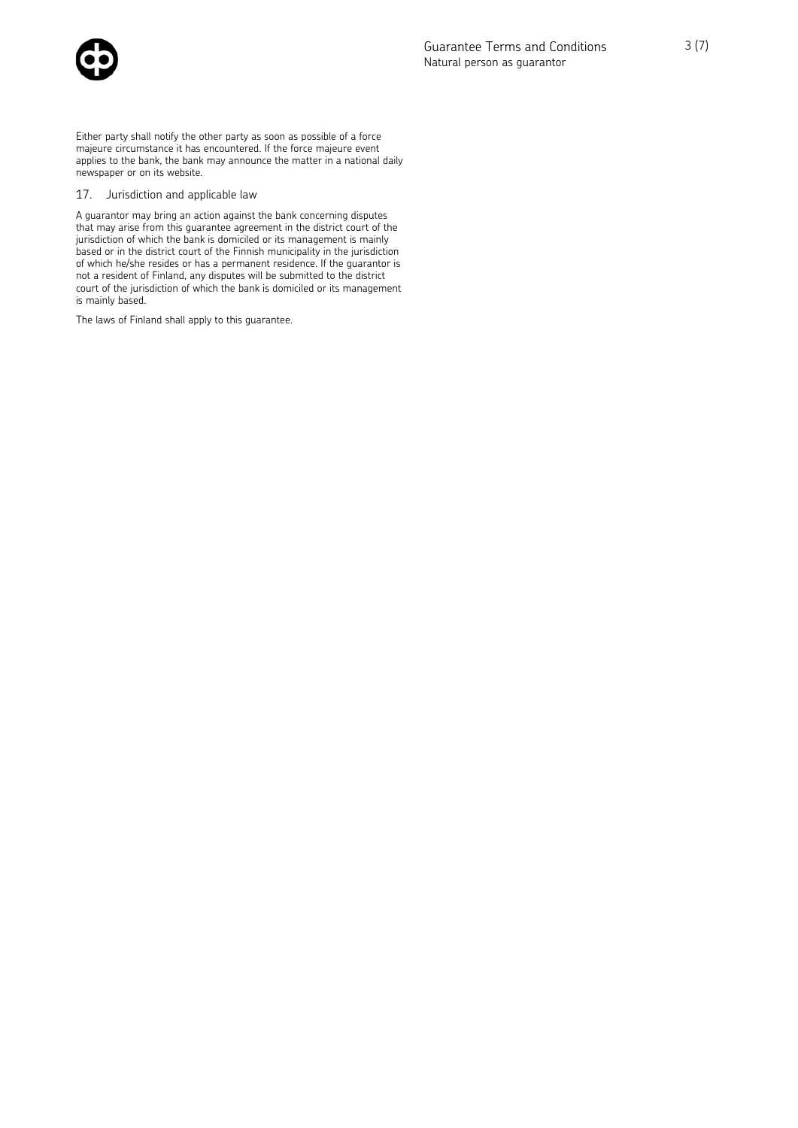

Either party shall notify the other party as soon as possible of a force majeure circumstance it has encountered. If the force majeure event applies to the bank, the bank may announce the matter in a national daily newspaper or on its website.

#### 17. Jurisdiction and applicable law

A guarantor may bring an action against the bank concerning disputes that may arise from this guarantee agreement in the district court of the jurisdiction of which the bank is domiciled or its management is mainly based or in the district court of the Finnish municipality in the jurisdiction of which he/she resides or has a permanent residence. If the guarantor is not a resident of Finland, any disputes will be submitted to the district court of the jurisdiction of which the bank is domiciled or its management is mainly based.

The laws of Finland shall apply to this guarantee.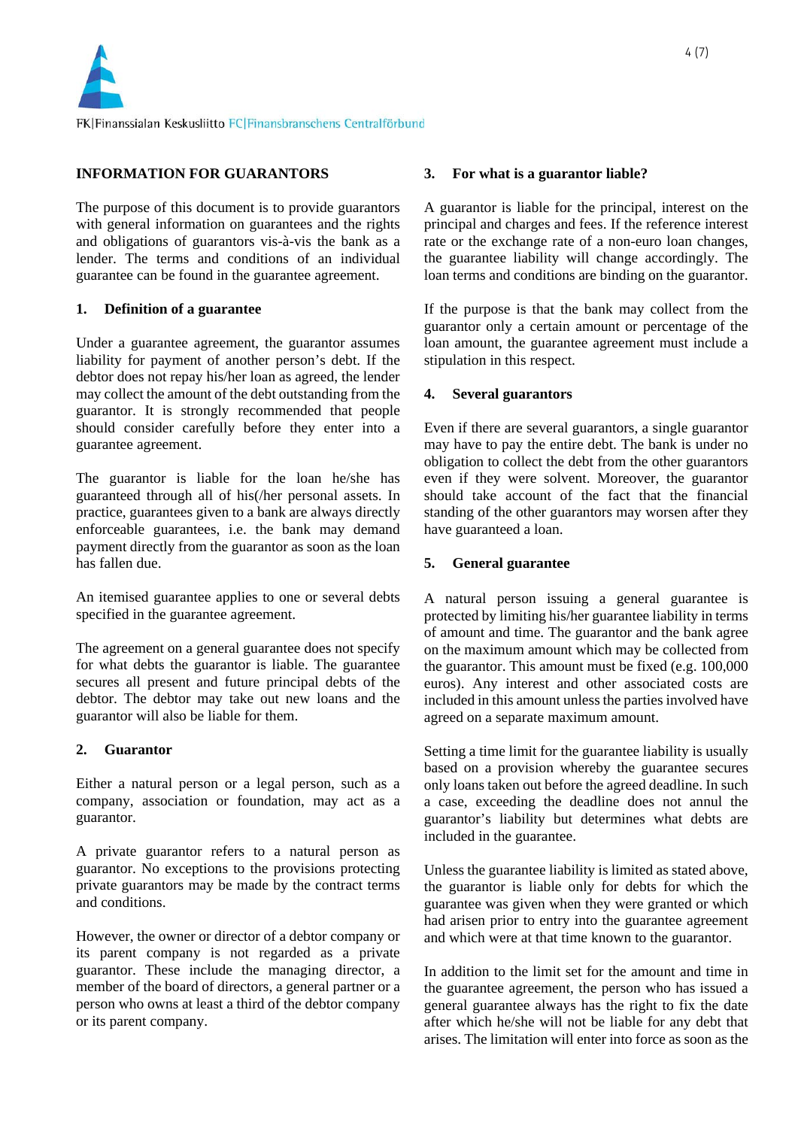

# **INFORMATION FOR GUARANTORS**

The purpose of this document is to provide guarantors with general information on guarantees and the rights and obligations of guarantors vis-à-vis the bank as a lender. The terms and conditions of an individual guarantee can be found in the guarantee agreement.

# **1. Definition of a guarantee**

Under a guarantee agreement, the guarantor assumes liability for payment of another person's debt. If the debtor does not repay his/her loan as agreed, the lender may collect the amount of the debt outstanding from the guarantor. It is strongly recommended that people should consider carefully before they enter into a guarantee agreement.

The guarantor is liable for the loan he/she has guaranteed through all of his(/her personal assets. In practice, guarantees given to a bank are always directly enforceable guarantees, i.e. the bank may demand payment directly from the guarantor as soon as the loan has fallen due.

An itemised guarantee applies to one or several debts specified in the guarantee agreement.

The agreement on a general guarantee does not specify for what debts the guarantor is liable. The guarantee secures all present and future principal debts of the debtor. The debtor may take out new loans and the guarantor will also be liable for them.

## **2. Guarantor**

Either a natural person or a legal person, such as a company, association or foundation, may act as a guarantor.

A private guarantor refers to a natural person as guarantor. No exceptions to the provisions protecting private guarantors may be made by the contract terms and conditions.

However, the owner or director of a debtor company or its parent company is not regarded as a private guarantor. These include the managing director, a member of the board of directors, a general partner or a person who owns at least a third of the debtor company or its parent company.

## **3. For what is a guarantor liable?**

A guarantor is liable for the principal, interest on the principal and charges and fees. If the reference interest rate or the exchange rate of a non-euro loan changes, the guarantee liability will change accordingly. The loan terms and conditions are binding on the guarantor.

If the purpose is that the bank may collect from the guarantor only a certain amount or percentage of the loan amount, the guarantee agreement must include a stipulation in this respect.

## **4. Several guarantors**

Even if there are several guarantors, a single guarantor may have to pay the entire debt. The bank is under no obligation to collect the debt from the other guarantors even if they were solvent. Moreover, the guarantor should take account of the fact that the financial standing of the other guarantors may worsen after they have guaranteed a loan.

### **5. General guarantee**

A natural person issuing a general guarantee is protected by limiting his/her guarantee liability in terms of amount and time. The guarantor and the bank agree on the maximum amount which may be collected from the guarantor. This amount must be fixed (e.g. 100,000 euros). Any interest and other associated costs are included in this amount unless the parties involved have agreed on a separate maximum amount.

Setting a time limit for the guarantee liability is usually based on a provision whereby the guarantee secures only loans taken out before the agreed deadline. In such a case, exceeding the deadline does not annul the guarantor's liability but determines what debts are included in the guarantee.

Unless the guarantee liability is limited as stated above, the guarantor is liable only for debts for which the guarantee was given when they were granted or which had arisen prior to entry into the guarantee agreement and which were at that time known to the guarantor.

In addition to the limit set for the amount and time in the guarantee agreement, the person who has issued a general guarantee always has the right to fix the date after which he/she will not be liable for any debt that arises. The limitation will enter into force as soon as the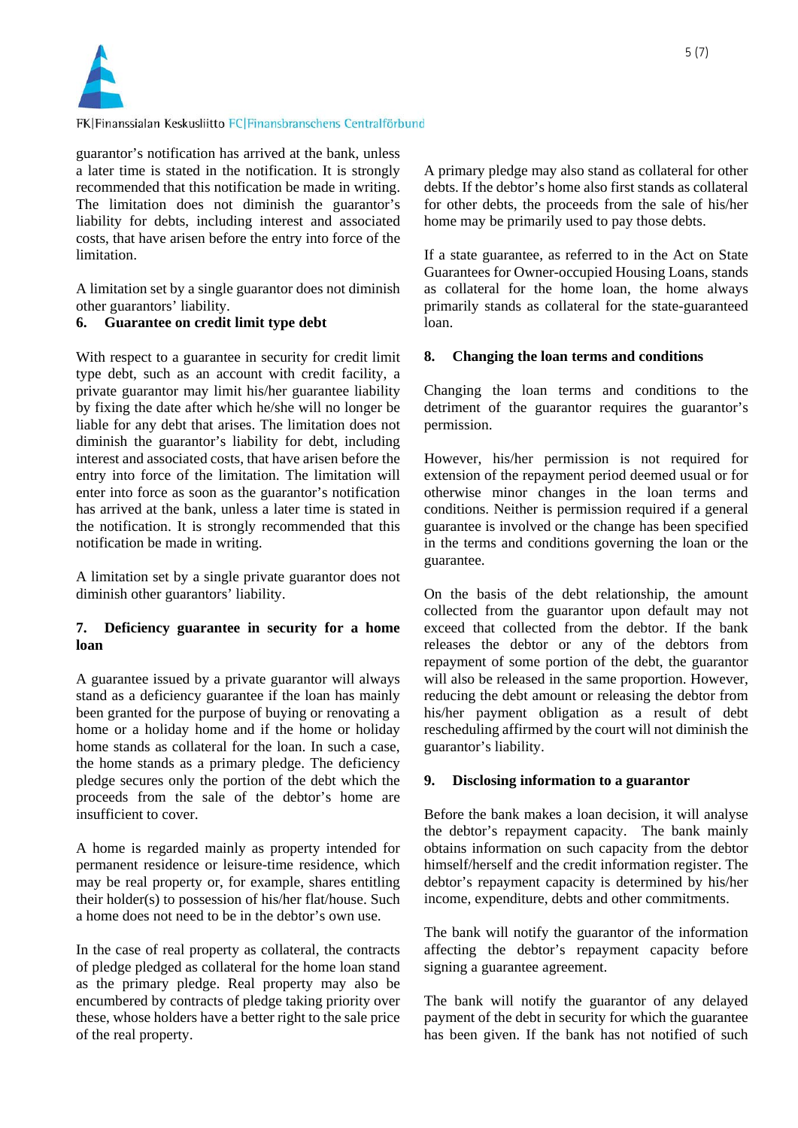

guarantor's notification has arrived at the bank, unless a later time is stated in the notification. It is strongly recommended that this notification be made in writing. The limitation does not diminish the guarantor's liability for debts, including interest and associated costs, that have arisen before the entry into force of the limitation.

A limitation set by a single guarantor does not diminish other guarantors' liability.

## **6. Guarantee on credit limit type debt**

With respect to a guarantee in security for credit limit type debt, such as an account with credit facility, a private guarantor may limit his/her guarantee liability by fixing the date after which he/she will no longer be liable for any debt that arises. The limitation does not diminish the guarantor's liability for debt, including interest and associated costs, that have arisen before the entry into force of the limitation. The limitation will enter into force as soon as the guarantor's notification has arrived at the bank, unless a later time is stated in the notification. It is strongly recommended that this notification be made in writing.

A limitation set by a single private guarantor does not diminish other guarantors' liability.

# **7. Deficiency guarantee in security for a home loan**

A guarantee issued by a private guarantor will always stand as a deficiency guarantee if the loan has mainly been granted for the purpose of buying or renovating a home or a holiday home and if the home or holiday home stands as collateral for the loan. In such a case, the home stands as a primary pledge. The deficiency pledge secures only the portion of the debt which the proceeds from the sale of the debtor's home are insufficient to cover.

A home is regarded mainly as property intended for permanent residence or leisure-time residence, which may be real property or, for example, shares entitling their holder(s) to possession of his/her flat/house. Such a home does not need to be in the debtor's own use.

In the case of real property as collateral, the contracts of pledge pledged as collateral for the home loan stand as the primary pledge. Real property may also be encumbered by contracts of pledge taking priority over these, whose holders have a better right to the sale price of the real property.

A primary pledge may also stand as collateral for other debts. If the debtor's home also first stands as collateral for other debts, the proceeds from the sale of his/her home may be primarily used to pay those debts.

If a state guarantee, as referred to in the Act on State Guarantees for Owner-occupied Housing Loans, stands as collateral for the home loan, the home always primarily stands as collateral for the state-guaranteed loan.

## **8. Changing the loan terms and conditions**

Changing the loan terms and conditions to the detriment of the guarantor requires the guarantor's permission.

However, his/her permission is not required for extension of the repayment period deemed usual or for otherwise minor changes in the loan terms and conditions. Neither is permission required if a general guarantee is involved or the change has been specified in the terms and conditions governing the loan or the guarantee.

On the basis of the debt relationship, the amount collected from the guarantor upon default may not exceed that collected from the debtor. If the bank releases the debtor or any of the debtors from repayment of some portion of the debt, the guarantor will also be released in the same proportion. However, reducing the debt amount or releasing the debtor from his/her payment obligation as a result of debt rescheduling affirmed by the court will not diminish the guarantor's liability.

## **9. Disclosing information to a guarantor**

Before the bank makes a loan decision, it will analyse the debtor's repayment capacity. The bank mainly obtains information on such capacity from the debtor himself/herself and the credit information register. The debtor's repayment capacity is determined by his/her income, expenditure, debts and other commitments.

The bank will notify the guarantor of the information affecting the debtor's repayment capacity before signing a guarantee agreement.

The bank will notify the guarantor of any delayed payment of the debt in security for which the guarantee has been given. If the bank has not notified of such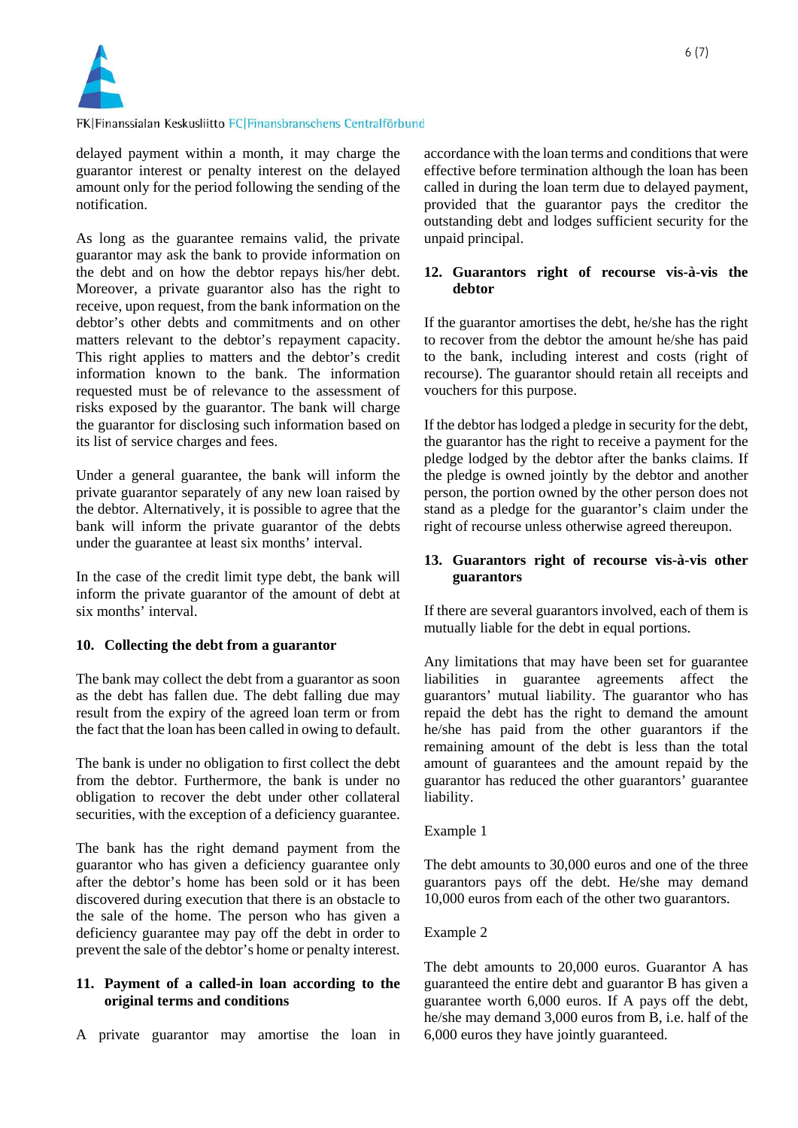

delayed payment within a month, it may charge the guarantor interest or penalty interest on the delayed amount only for the period following the sending of the notification.

As long as the guarantee remains valid, the private guarantor may ask the bank to provide information on the debt and on how the debtor repays his/her debt. Moreover, a private guarantor also has the right to receive, upon request, from the bank information on the debtor's other debts and commitments and on other matters relevant to the debtor's repayment capacity. This right applies to matters and the debtor's credit information known to the bank. The information requested must be of relevance to the assessment of risks exposed by the guarantor. The bank will charge the guarantor for disclosing such information based on its list of service charges and fees.

Under a general guarantee, the bank will inform the private guarantor separately of any new loan raised by the debtor. Alternatively, it is possible to agree that the bank will inform the private guarantor of the debts under the guarantee at least six months' interval.

In the case of the credit limit type debt, the bank will inform the private guarantor of the amount of debt at six months' interval.

## **10. Collecting the debt from a guarantor**

The bank may collect the debt from a guarantor as soon as the debt has fallen due. The debt falling due may result from the expiry of the agreed loan term or from the fact that the loan has been called in owing to default.

The bank is under no obligation to first collect the debt from the debtor. Furthermore, the bank is under no obligation to recover the debt under other collateral securities, with the exception of a deficiency guarantee.

The bank has the right demand payment from the guarantor who has given a deficiency guarantee only after the debtor's home has been sold or it has been discovered during execution that there is an obstacle to the sale of the home. The person who has given a deficiency guarantee may pay off the debt in order to prevent the sale of the debtor's home or penalty interest.

# **11. Payment of a called-in loan according to the original terms and conditions**

A private guarantor may amortise the loan in

accordance with the loan terms and conditions that were effective before termination although the loan has been called in during the loan term due to delayed payment, provided that the guarantor pays the creditor the outstanding debt and lodges sufficient security for the unpaid principal.

## **12. Guarantors right of recourse vis-à-vis the debtor**

If the guarantor amortises the debt, he/she has the right to recover from the debtor the amount he/she has paid to the bank, including interest and costs (right of recourse). The guarantor should retain all receipts and vouchers for this purpose.

If the debtor has lodged a pledge in security for the debt, the guarantor has the right to receive a payment for the pledge lodged by the debtor after the banks claims. If the pledge is owned jointly by the debtor and another person, the portion owned by the other person does not stand as a pledge for the guarantor's claim under the right of recourse unless otherwise agreed thereupon.

## **13. Guarantors right of recourse vis-à-vis other guarantors**

If there are several guarantors involved, each of them is mutually liable for the debt in equal portions.

Any limitations that may have been set for guarantee liabilities in guarantee agreements affect the guarantors' mutual liability. The guarantor who has repaid the debt has the right to demand the amount he/she has paid from the other guarantors if the remaining amount of the debt is less than the total amount of guarantees and the amount repaid by the guarantor has reduced the other guarantors' guarantee liability.

## Example 1

The debt amounts to 30,000 euros and one of the three guarantors pays off the debt. He/she may demand 10,000 euros from each of the other two guarantors.

## Example 2

The debt amounts to 20,000 euros. Guarantor A has guaranteed the entire debt and guarantor B has given a guarantee worth 6,000 euros. If A pays off the debt, he/she may demand 3,000 euros from B, i.e. half of the 6,000 euros they have jointly guaranteed.